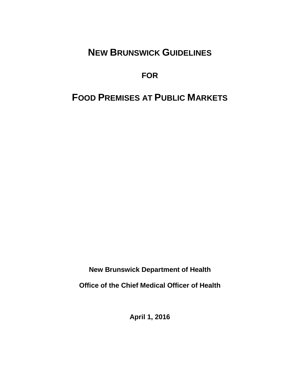# **NEW BRUNSWICK GUIDELINES**

**FOR**

# **FOOD PREMISES AT PUBLIC MARKETS**

**New Brunswick Department of Health**

**Office of the Chief Medical Officer of Health** 

**April 1, 2016**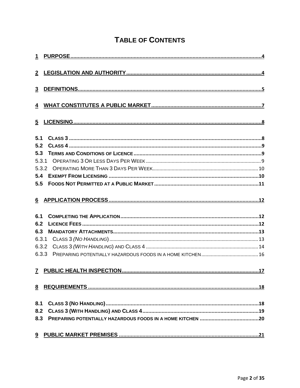# **TABLE OF CONTENTS**

| 3 <sup>1</sup> |  |
|----------------|--|
|                |  |
|                |  |
| 5.1            |  |
| 5.2            |  |
| 5.3            |  |
|                |  |
|                |  |
| 5.4            |  |
| 5.5            |  |
|                |  |
| 6.1            |  |
| 6.2            |  |
| 6.3            |  |
|                |  |
| 6.3.2          |  |
| 6.3.3          |  |
|                |  |
|                |  |
| 8.1            |  |
| 8.2            |  |
|                |  |
|                |  |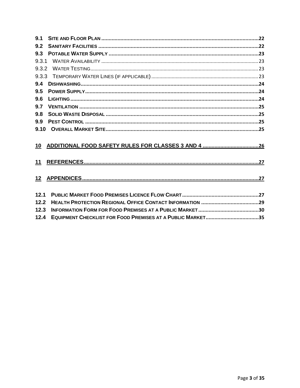| 9.1   |  |
|-------|--|
| 9.2   |  |
| 9.3   |  |
| 9.3.1 |  |
|       |  |
|       |  |
| 9.4   |  |
| 9.5   |  |
| 9.6   |  |
| 9.7   |  |
| 9.8   |  |
| 9.9   |  |
|       |  |
| 10    |  |
| 11    |  |
| 12    |  |
| 12.1  |  |
| 12.2  |  |
| 12.3  |  |
| 12.4  |  |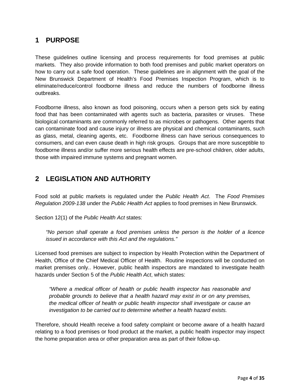## <span id="page-3-0"></span>**1 PURPOSE**

These guidelines outline licensing and process requirements for food premises at public markets. They also provide information to both food premises and public market operators on how to carry out a safe food operation. These guidelines are in alignment with the goal of the New Brunswick Department of Health's Food Premises Inspection Program, which is to eliminate/reduce/control foodborne illness and reduce the numbers of foodborne illness outbreaks.

Foodborne illness, also known as food poisoning, occurs when a person gets sick by eating food that has been contaminated with agents such as bacteria, parasites or viruses. These biological contaminants are commonly referred to as microbes or pathogens. Other agents that can contaminate food and cause injury or illness are physical and chemical contaminants, such as glass, metal, cleaning agents, etc. Foodborne illness can have serious consequences to consumers, and can even cause death in high risk groups. Groups that are more susceptible to foodborne illness and/or suffer more serious health effects are pre-school children, older adults, those with impaired immune systems and pregnant women.

## <span id="page-3-1"></span>**2 LEGISLATION AND AUTHORITY**

Food sold at public markets is regulated under the *Public Health Act*. The *Food Premises Regulation 2009-138* under the *Public Health Act* applies to food premises in New Brunswick.

Section 12(1) of the *Public Health Act* states:

*"No person shall operate a food premises unless the person is the holder of a licence issued in accordance with this Act and the regulations."*

Licensed food premises are subject to inspection by Health Protection within the Department of Health, Office of the Chief Medical Officer of Health. Routine inspections will be conducted on market premises only.. However, public health inspectors are mandated to investigate health hazards under Section 5 of the *Public Health Act*, which states:

*"Where a medical officer of health or public health inspector has reasonable and probable grounds to believe that a health hazard may exist in or on any premises, the medical officer of health or public health inspector shall investigate or cause an investigation to be carried out to determine whether a health hazard exists.*

Therefore, should Health receive a food safety complaint or become aware of a health hazard relating to a food premises or food product at the market, a public health inspector may inspect the home preparation area or other preparation area as part of their follow-up.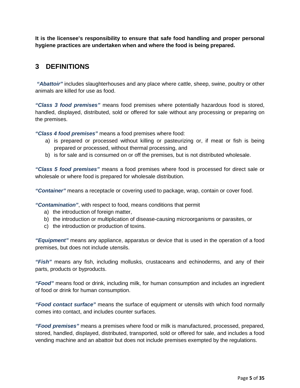**It is the licensee's responsibility to ensure that safe food handling and proper personal hygiene practices are undertaken when and where the food is being prepared.**

## <span id="page-4-0"></span>**3 DEFINITIONS**

*"Abattoir"* includes slaughterhouses and any place where cattle, sheep, swine, poultry or other animals are killed for use as food.

*"Class 3 food premises"* means food premises where potentially hazardous food is stored, handled, displayed, distributed, sold or offered for sale without any processing or preparing on the premises.

*"Class 4 food premises"* means a food premises where food:

- a) is prepared or processed without killing or pasteurizing or, if meat or fish is being prepared or processed, without thermal processing, and
- b) is for sale and is consumed on or off the premises, but is not distributed wholesale.

*"Class 5 food premises"* means a food premises where food is processed for direct sale or wholesale or where food is prepared for wholesale distribution.

*"Container"* means a receptacle or covering used to package, wrap, contain or cover food.

*"Contamination"*, with respect to food, means conditions that permit

- a) the introduction of foreign matter,
- b) the introduction or multiplication of disease-causing microorganisms or parasites, or
- c) the introduction or production of toxins.

*"Equipment"* means any appliance, apparatus or device that is used in the operation of a food premises, but does not include utensils.

*"Fish"* means any fish, including mollusks, crustaceans and echinoderms, and any of their parts, products or byproducts.

*"Food"* means food or drink, including milk, for human consumption and includes an ingredient of food or drink for human consumption.

*"Food contact surface"* means the surface of equipment or utensils with which food normally comes into contact, and includes counter surfaces.

*"Food premises"* means a premises where food or milk is manufactured, processed, prepared, stored, handled, displayed, distributed, transported, sold or offered for sale, and includes a food vending machine and an abattoir but does not include premises exempted by the regulations.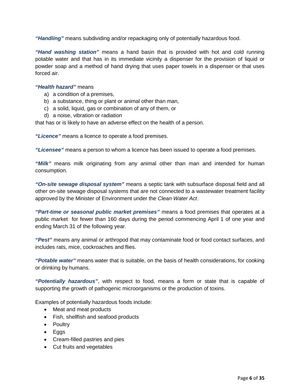*"Handling"* means subdividing and/or repackaging only of potentially hazardous food.

*"Hand washing station"* means a hand basin that is provided with hot and cold running potable water and that has in its immediate vicinity a dispenser for the provision of liquid or powder soap and a method of hand drying that uses paper towels in a dispenser or that uses forced air.

#### *"Health hazard"* means

- a) a condition of a premises,
- b) a substance, thing or plant or animal other than man,
- c) a solid, liquid, gas or combination of any of them, or
- d) a noise, vibration or radiation

that has or is likely to have an adverse effect on the health of a person.

*"Licence"* means a licence to operate a food premises.

*"Licensee"* means a person to whom a licence has been issued to operate a food premises.

*"Milk"* means milk originating from any animal other than man and intended for human consumption.

*"On-site sewage disposal system"* means a septic tank with subsurface disposal field and all other on-site sewage disposal systems that are not connected to a wastewater treatment facility approved by the Minister of Environment under the *Clean Water Act*.

*"Part-time or seasonal public market premises"* means a food premises that operates at a public market for fewer than 160 days during the period commencing April 1 of one year and ending March 31 of the following year.

*"Pest"* means any animal or arthropod that may contaminate food or food contact surfaces, and includes rats, mice, cockroaches and flies.

*"Potable water"* means water that is suitable, on the basis of health considerations, for cooking or drinking by humans.

*"Potentially hazardous"*, with respect to food, means a form or state that is capable of supporting the growth of pathogenic microorganisms or the production of toxins.

Examples of potentially hazardous foods include:

- Meat and meat products
- Fish, shellfish and seafood products
- Poultry
- Eggs
- Cream-filled pastries and pies
- Cut fruits and vegetables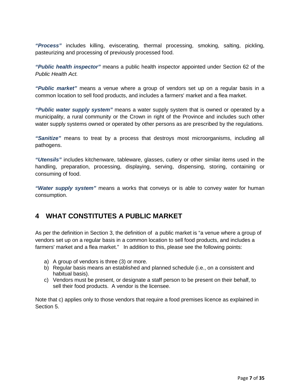*"Process"* includes killing, eviscerating, thermal processing, smoking, salting, pickling, pasteurizing and processing of previously processed food.

*"Public health inspector"* means a public health inspector appointed under Section 62 of the *Public Health Act.*

*"Public market"* means a venue where a group of vendors set up on a regular basis in a common location to sell food products, and includes a farmers' market and a flea market.

*"Public water supply system"* means a water supply system that is owned or operated by a municipality, a rural community or the Crown in right of the Province and includes such other water supply systems owned or operated by other persons as are prescribed by the regulations.

*"Sanitize"* means to treat by a process that destroys most microorganisms, including all pathogens.

*"Utensils"* includes kitchenware, tableware, glasses, cutlery or other similar items used in the handling, preparation, processing, displaying, serving, dispensing, storing, containing or consuming of food.

*"Water supply system"* means a works that conveys or is able to convey water for human consumption.

## <span id="page-6-0"></span>**4 WHAT CONSTITUTES A PUBLIC MARKET**

As per the definition in Section 3, the definition of a public market is "a venue where a group of vendors set up on a regular basis in a common location to sell food products, and includes a farmers' market and a flea market." In addition to this, please see the following points:

- a) A group of vendors is three (3) or more.
- b) Regular basis means an established and planned schedule (i.e., on a consistent and habitual basis).
- c) Vendors must be present, or designate a staff person to be present on their behalf, to sell their food products. A vendor is the licensee.

Note that c) applies only to those vendors that require a food premises licence as explained in Section 5.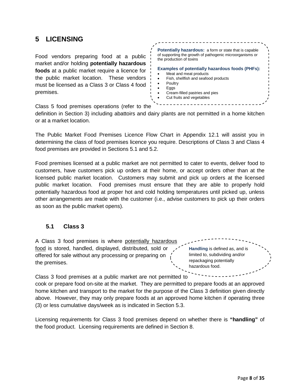## <span id="page-7-0"></span>**5 LICENSING**

Food vendors preparing food at a public market and/or holding **potentially hazardous foods** at a public market require a licence for the public market location. These vendors must be licensed as a Class 3 or Class 4 food premises.

**Potentially hazardous:** a form or state that is capable of supporting the growth of pathogenic microorganisms or the production of toxins **Examples of potentially hazardous foods (PHFs):** Meat and meat products • Fish, shellfish and seafood products **Poultry** • Eggs • Cream-filled pastries and pies Cut fruits and vegetables

Class 5 food premises operations (refer to the

definition in Section 3) including abattoirs and dairy plants are not permitted in a home kitchen or at a market location.

The Public Market Food Premises Licence Flow Chart in Appendix 12.1 will assist you in determining the class of food premises licence you require. Descriptions of Class 3 and Class 4 food premises are provided in Sections 5.1 and 5.2.

Food premises licensed at a public market are not permitted to cater to events, deliver food to customers, have customers pick up orders at their home, or accept orders other than at the licensed public market location. Customers may submit and pick up orders at the licensed public market location. Food premises must ensure that they are able to properly hold potentially hazardous food at proper hot and cold holding temperatures until picked up, unless other arrangements are made with the customer (i.e., advise customers to pick up their orders as soon as the public market opens).

#### <span id="page-7-1"></span>**5.1 Class 3**

A Class 3 food premises is where potentially hazardous food is stored, handled, displayed, distributed, sold or offered for sale without any processing or preparing on the premises.

**Handling** is defined as, and is limited to, subdividing and/or repackaging potentially hazardous food.

Class 3 food premises at a public market are not permitted to

cook or prepare food on-site at the market. They are permitted to prepare foods at an approved home kitchen and transport to the market for the purpose of the Class 3 definition given directly above. However, they may only prepare foods at an approved home kitchen if operating three (3) or less cumulative days/week as is indicated in Section 5.3.

Licensing requirements for Class 3 food premises depend on whether there is **"handling"** of the food product. Licensing requirements are defined in Section 8.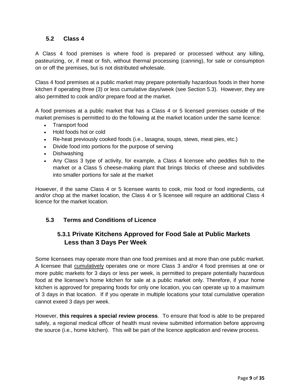#### <span id="page-8-1"></span><span id="page-8-0"></span>**5.2 Class 4**

A Class 4 food premises is where food is prepared or processed without any killing, pasteurizing, or, if meat or fish, without thermal processing (canning), for sale or consumption on or off the premises, but is not distributed wholesale.

Class 4 food premises at a public market may prepare potentially hazardous foods in their home kitchen if operating three (3) or less cumulative days/week (see Section 5.3). However, they are also permitted to cook and/or prepare food at the market.

A food premises at a public market that has a Class 4 or 5 licensed premises outside of the market premises is permitted to do the following at the market location under the same licence:

- Transport food
- Hold foods hot or cold
- Re-heat previously cooked foods (i.e., lasagna, soups, stews, meat pies, etc.)
- Divide food into portions for the purpose of serving
- Dishwashing
- Any Class 3 type of activity, for example, a Class 4 licensee who peddles fish to the market or a Class 5 cheese-making plant that brings blocks of cheese and subdivides into smaller portions for sale at the market

However, if the same Class 4 or 5 licensee wants to cook, mix food or food ingredients, cut and/or chop at the market location, the Class 4 or 5 licensee will require an additional Class 4 licence for the market location.

#### <span id="page-8-2"></span>**5.3 Terms and Conditions of Licence**

## **5.3.1 Private Kitchens Approved for Food Sale at Public Markets Less than 3 Days Per Week**

Some licensees may operate more than one food premises and at more than one public market. A licensee that cumulatively operates one or more Class 3 and/or 4 food premises at one or more public markets for 3 days or less per week, is permitted to prepare potentially hazardous food at the licensee's home kitchen for sale at a public market only. Therefore, if your home kitchen is approved for preparing foods for only one location, you can operate up to a maximum of 3 days in that location. If if you operate in multiple locations your total cumulative operation cannot exeed 3 days per week.

However, **this requires a special review process**. To ensure that food is able to be prepared safely, a regional medical officer of health must review submitted information before approving the source (i.e., home kitchen). This will be part of the licence application and review process.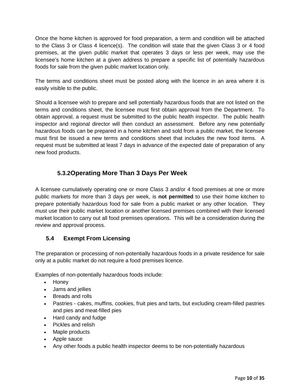Once the home kitchen is approved for food preparation, a term and condition will be attached to the Class 3 or Class 4 licence(s). The condition will state that the given Class 3 or 4 food premises, at the given public market that operates 3 days or less per week, may use the licensee's home kitchen at a given address to prepare a specific list of potentially hazardous foods for sale from the given public market location only.

The terms and conditions sheet must be posted along with the licence in an area where it is easily visible to the public.

Should a licensee wish to prepare and sell potentially hazardous foods that are not listed on the terms and conditions sheet, the licensee must first obtain approval from the Department. To obtain approval, a request must be submitted to the public health inspector. The public health inspector and regional director will then conduct an assessment. Before any new potentially hazardous foods can be prepared in a home kitchen and sold from a public market, the licensee must first be issued a new terms and conditions sheet that includes the new food items. A request must be submitted at least 7 days in advance of the expected date of preparation of any new food products.

## **5.3.2Operating More Than 3 Days Per Week**

<span id="page-9-0"></span>A licensee cumulatively operating one or more Class 3 and/or 4 food premises at one or more public markets for more than 3 days per week, is **not permitted** to use their home kitchen to prepare potentially hazardous food for sale from a public market or any other location. They must use their public market location or another licensed premises combined with their licensed market location to carry out all food premises operations. This will be a consideration during the review and approval process.

## <span id="page-9-1"></span>**5.4 Exempt From Licensing**

The preparation or processing of non-potentially hazardous foods in a private residence for sale only at a public market do not require a food premises licence.

Examples of non-potentially hazardous foods include:

- Honey
- Jams and jellies
- Breads and rolls
- Pastries cakes, muffins, cookies, fruit pies and tarts, but excluding cream-filled pastries and pies and meat-filled pies
- Hard candy and fudge
- Pickles and relish
- Maple products
- Apple sauce
- Any other foods a public health inspector deems to be non-potentially hazardous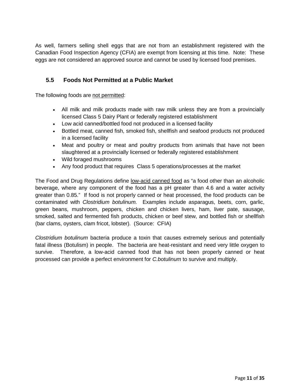As well, farmers selling shell eggs that are not from an establishment registered with the Canadian Food Inspection Agency (CFIA) are exempt from licensing at this time. Note: These eggs are not considered an approved source and cannot be used by licensed food premises.

#### <span id="page-10-0"></span>**5.5 Foods Not Permitted at a Public Market**

The following foods are not permitted:

- All milk and milk products made with raw milk unless they are from a provincially licensed Class 5 Dairy Plant or federally registered establishment
- Low acid canned/bottled food not produced in a licensed facility
- Bottled meat, canned fish, smoked fish, shellfish and seafood products not produced in a licensed facility
- Meat and poultry or meat and poultry products from animals that have not been slaughtered at a provincially licensed or federally registered establishment
- Wild foraged mushrooms
- Any food product that requires Class 5 operations/processes at the market

The Food and Drug Regulations define low-acid canned food as "a food other than an alcoholic beverage, where any component of the food has a pH greater than 4.6 and a water activity greater than 0.85." If food is not properly canned or heat processed, the food products can be contaminated with *Clostridium botulinum.* Examples include asparagus, beets, corn, garlic, green beans, mushroom, peppers, chicken and chicken livers, ham, liver pate, sausage, smoked, salted and fermented fish products, chicken or beef stew, and bottled fish or shellfish (bar clams, oysters, clam fricot, lobster). (Source: CFIA)

*Clostridium botulinum* bacteria produce a toxin that causes extremely serious and potentially fatal illness (Botulism) in people. The bacteria are heat-resistant and need very little oxygen to survive. Therefore, a low-acid canned food that has not been properly canned or heat processed can provide a perfect environment for *C.botulinum* to survive and multiply.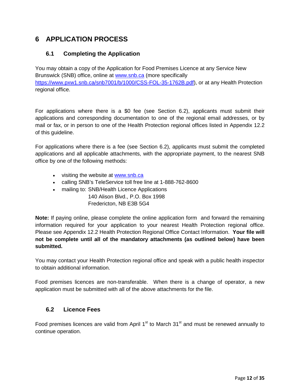## <span id="page-11-1"></span><span id="page-11-0"></span>**6 APPLICATION PROCESS**

#### **6.1 Completing the Application**

You may obtain a copy of the Application for Food Premises Licence at any Service New Brunswick (SNB) office, online at [www.snb.ca](http://www.snb.ca/) (more specifically [https://www.pxw1.snb.ca/snb7001/b/1000/CSS-FOL-35-1762B.pdf\)](https://www.pxw1.snb.ca/snb7001/b/1000/CSS-FOL-35-1762B.pdf), or at any Health Protection regional office.

For applications where there is a \$0 fee (see Section 6.2), applicants must submit their applications and corresponding documentation to one of the regional email addresses, or by mail or fax, or in person to one of the Health Protection regional offices listed in Appendix 12.2 of this guideline.

For applications where there is a fee (see Section 6.2), applicants must submit the completed applications and all applicable attachments, with the appropriate payment, to the nearest SNB office by one of the following methods:

- visiting the website at [www.snb.ca](http://www.snb.ca/)
- calling SNB's TeleService toll free line at 1-888-762-8600
- mailing to: SNB/Health Licence Applications 140 Alison Blvd., P.O. Box 1998
	- Fredericton, NB E3B 5G4

**Note:** If paying online, please complete the online application form and forward the remaining information required for your application to your nearest Health Protection regional office. Please see Appendix 12.2 Health Protection Regional Office Contact Information. **Your file will not be complete until all of the mandatory attachments (as outlined below) have been submitted.** 

You may contact your Health Protection regional office and speak with a public health inspector to obtain additional information.

Food premises licences are non-transferable. When there is a change of operator, a new application must be submitted with all of the above attachments for the file.

#### <span id="page-11-2"></span>**6.2 Licence Fees**

Food premises licences are valid from April  $1<sup>st</sup>$  to March 31 $<sup>st</sup>$  and must be renewed annually to</sup> continue operation.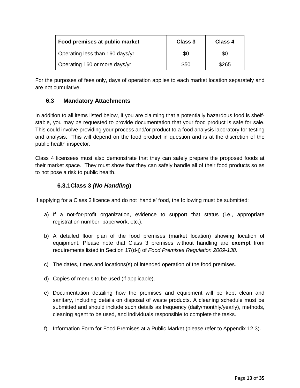<span id="page-12-0"></span>

| Food premises at public market  | Class 3 | Class 4 |
|---------------------------------|---------|---------|
| Operating less than 160 days/yr | \$0     | \$0     |
| Operating 160 or more days/yr   | \$50    | \$265   |

For the purposes of fees only, days of operation applies to each market location separately and are not cumulative.

#### **6.3 Mandatory Attachments**

In addition to all items listed below, if you are claiming that a potentially hazardous food is shelfstable, you may be requested to provide documentation that your food product is safe for sale. This could involve providing your process and/or product to a food analysis laboratory for testing and analysis. This will depend on the food product in question and is at the discretion of the public health inspector.

Class 4 licensees must also demonstrate that they can safely prepare the proposed foods at their market space. They must show that they can safely handle all of their food products so as to not pose a risk to public health.

### **6.3.1Class 3** *(No Handling***)**

<span id="page-12-1"></span>If applying for a Class 3 licence and do not 'handle' food, the following must be submitted:

- a) If a not-for-profit organization, evidence to support that status (i.e., appropriate registration number, paperwork, etc.).
- b) A detailed floor plan of the food premises (market location) showing location of equipment. Please note that Class 3 premises without handling are **exempt** from requirements listed in Section 17(d-j) of *Food Premises Regulation 2009-138*.
- c) The dates, times and locations(s) of intended operation of the food premises.
- d) Copies of menus to be used (if applicable).
- e) Documentation detailing how the premises and equipment will be kept clean and sanitary, including details on disposal of waste products. A cleaning schedule must be submitted and should include such details as frequency (daily/monthly/yearly), methods, cleaning agent to be used, and individuals responsible to complete the tasks.
- f) Information Form for Food Premises at a Public Market (please refer to Appendix 12.3).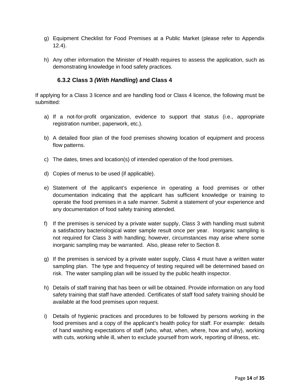- g) Equipment Checklist for Food Premises at a Public Market (please refer to Appendix 12.4).
- <span id="page-13-0"></span>h) Any other information the Minister of Health requires to assess the application, such as demonstrating knowledge in food safety practices.

#### **6.3.2 Class 3** *(With Handling***) and Class 4**

If applying for a Class 3 licence and are handling food or Class 4 licence, the following must be submitted:

- a) If a not-for-profit organization, evidence to support that status (i.e., appropriate registration number, paperwork, etc.).
- b) A detailed floor plan of the food premises showing location of equipment and process flow patterns.
- c) The dates, times and location(s) of intended operation of the food premises.
- d) Copies of menus to be used (if applicable).
- e) Statement of the applicant's experience in operating a food premises or other documentation indicating that the applicant has sufficient knowledge or training to operate the food premises in a safe manner. Submit a statement of your experience and any documentation of food safety training attended.
- f) If the premises is serviced by a private water supply, Class 3 with handling must submit a satisfactory bacteriological water sample result once per year. Inorganic sampling is not required for Class 3 with handling; however, circumstances may arise where some inorganic sampling may be warranted. Also, please refer to Section 8.
- g) If the premises is serviced by a private water supply, Class 4 must have a written water sampling plan. The type and frequency of testing required will be determined based on risk. The water sampling plan will be issued by the public health inspector.
- h) Details of staff training that has been or will be obtained. Provide information on any food safety training that staff have attended. Certificates of staff food safety training should be available at the food premises upon request.
- i) Details of hygienic practices and procedures to be followed by persons working in the food premises and a copy of the applicant's health policy for staff. For example: details of hand washing expectations of staff (who, what, when, where, how and why), working with cuts, working while ill, when to exclude yourself from work, reporting of illness, etc.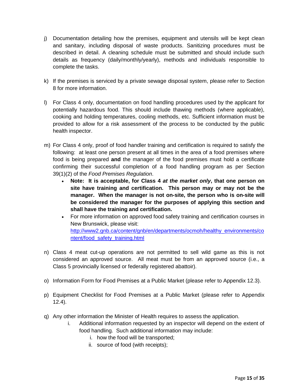- j) Documentation detailing how the premises, equipment and utensils will be kept clean and sanitary, including disposal of waste products. Sanitizing procedures must be described in detail. A cleaning schedule must be submitted and should include such details as frequency (daily/monthly/yearly), methods and individuals responsible to complete the tasks.
- k) If the premises is serviced by a private sewage disposal system, please refer to Section 8 for more information.
- l) For Class 4 only, documentation on food handling procedures used by the applicant for potentially hazardous food. This should include thawing methods (where applicable), cooking and holding temperatures, cooling methods, etc. Sufficient information must be provided to allow for a risk assessment of the process to be conducted by the public health inspector.
- m) For Class 4 only, proof of food handler training and certification is required to satisfy the following: at least one person present at all times in the area of a food premises where food is being prepared **and** the manager of the food premises must hold a certificate confirming their successful completion of a food handling program as per Section 39(1)(2) of the *Food Premises Regulation*.
	- **Note: It is acceptable, for Class 4** *at the market only***, that one person on site have training and certification. This person may or may not be the manager. When the manager is not on-site, the person who is on-site will be considered the manager for the purposes of applying this section and shall have the training and certification.**
	- For more information on approved food safety training and certification courses in New Brunswick, please visit: [http://www2.gnb.ca/content/gnb/en/departments/ocmoh/healthy\\_environments/co](http://www2.gnb.ca/content/gnb/en/departments/ocmoh/healthy_environments/content/food_safety_training.html) [ntent/food\\_safety\\_training.html](http://www2.gnb.ca/content/gnb/en/departments/ocmoh/healthy_environments/content/food_safety_training.html)
- n) Class 4 meat cut-up operations are not permitted to sell wild game as this is not considered an approved source. All meat must be from an approved source (i.e., a Class 5 provincially licensed or federally registered abattoir).
- o) Information Form for Food Premises at a Public Market (please refer to Appendix 12.3).
- p) Equipment Checklist for Food Premises at a Public Market (please refer to Appendix 12.4).
- q) Any other information the Minister of Health requires to assess the application.
	- i. Additional information requested by an inspector will depend on the extent of food handling. Such additional information may include:
		- i. how the food will be transported;
		- ii. source of food (with receipts);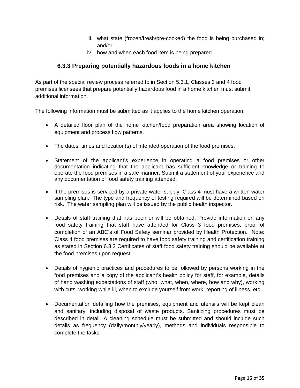- iii. what state (frozen/fresh/pre-cooked) the food is being purchased in; and/or
- iv. how and when each food item is being prepared.

### **6.3.3 Preparing potentially hazardous foods in a home kitchen**

<span id="page-15-0"></span>As part of the special review process referred to in Section 5.3.1, Classes 3 and 4 food premises licensees that prepare potentially hazardous food in a home kitchen must submit additional information.

The following information must be submitted as it applies to the home kitchen operation:

- A detailed floor plan of the home kitchen/food preparation area showing location of equipment and process flow patterns.
- The dates, times and location(s) of intended operation of the food premises.
- Statement of the applicant's experience in operating a food premises or other documentation indicating that the applicant has sufficient knowledge or training to operate the food premises in a safe manner. Submit a statement of your experience and any documentation of food safety training attended.
- If the premises is serviced by a private water supply, Class 4 must have a written water sampling plan. The type and frequency of testing required will be determined based on risk. The water sampling plan will be issued by the public health inspector.
- Details of staff training that has been or will be obtained. Provide information on any food safety training that staff have attended for Class 3 food premises, proof of completion of an ABC's of Food Safety seminar provided by Health Protection. Note: Class 4 food premises are required to have food safety training and certification training as stated in Section 6.3.2 Certificates of staff food safety training should be available at the food premises upon request.
- Details of hygienic practices and procedures to be followed by persons working in the food premises and a copy of the applicant's health policy for staff, for example, details of hand washing expectations of staff (who, what, when, where, how and why), working with cuts, working while ill, when to exclude yourself from work, reporting of illness, etc.
- Documentation detailing how the premises, equipment and utensils will be kept clean and sanitary, including disposal of waste products. Sanitizing procedures must be described in detail. A cleaning schedule must be submitted and should include such details as frequency (daily/monthly/yearly), methods and individuals responsible to complete the tasks.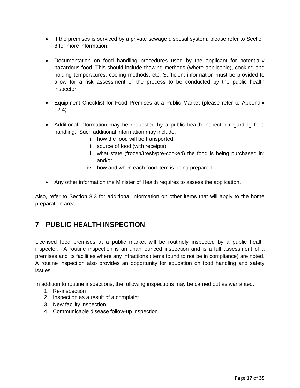- If the premises is serviced by a private sewage disposal system, please refer to Section 8 for more information.
- Documentation on food handling procedures used by the applicant for potentially hazardous food. This should include thawing methods (where applicable), cooking and holding temperatures, cooling methods, etc. Sufficient information must be provided to allow for a risk assessment of the process to be conducted by the public health inspector.
- Equipment Checklist for Food Premises at a Public Market (please refer to Appendix 12.4).
- Additional information may be requested by a public health inspector regarding food handling. Such additional information may include:
	- i. how the food will be transported;
	- ii. source of food (with receipts);
	- iii. what state (frozen/fresh/pre-cooked) the food is being purchased in; and/or
	- iv. how and when each food item is being prepared.
- Any other information the Minister of Health requires to assess the application.

Also, refer to Section 8.3 for additional information on other items that will apply to the home preparation area.

# <span id="page-16-0"></span>**7 PUBLIC HEALTH INSPECTION**

Licensed food premises at a public market will be routinely inspected by a public health inspector. A routine inspection is an unannounced inspection and is a full assessment of a premises and its facilities where any infractions (items found to not be in compliance) are noted. A routine inspection also provides an opportunity for education on food handling and safety issues.

In addition to routine inspections, the following inspections may be carried out as warranted.

- 1. Re-inspection
- 2. Inspection as a result of a complaint
- 3. New facility inspection
- 4. Communicable disease follow-up inspection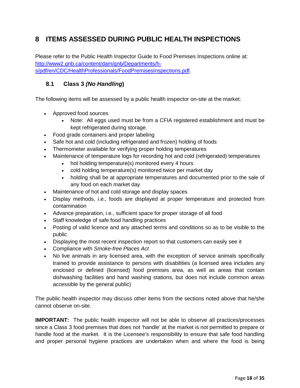# <span id="page-17-0"></span>**8 ITEMS ASSESSED DURING PUBLIC HEALTH INSPECTIONS**

Please refer to the Public Health Inspector Guide to Food Premises Inspections online at: [http://www2.gnb.ca/content/dam/gnb/Departments/h](http://www2.gnb.ca/content/dam/gnb/Departments/h-s/pdf/en/CDC/HealthProfessionals/FoodPremisesInspections.pdf)[s/pdf/en/CDC/HealthProfessionals/FoodPremisesInspections.pdf.](http://www2.gnb.ca/content/dam/gnb/Departments/h-s/pdf/en/CDC/HealthProfessionals/FoodPremisesInspections.pdf)

#### <span id="page-17-1"></span>**8.1 Class 3** *(No Handling***)**

The following items will be assessed by a public health inspector on-site at the market:

- Approved food sources
	- Note: All eggs used must be from a CFIA registered establishment and must be kept refrigerated during storage.
- Food grade containers and proper labeling
- Safe hot and cold (including refrigerated and frozen) holding of foods
- Thermometer available for verifying proper holding temperatures
- Maintenance of temperature logs for recording hot and cold (refrigerated) temperatures
	- hot holding temperature(s) monitored every 4 hours
	- cold holding temperature(s) monitored twice per market day
	- holding shall be at appropriate temperatures and documented prior to the sale of any food on each market day
- Maintenance of hot and cold storage and display spaces
- Display methods, i.e., foods are displayed at proper temperature and protected from contamination
- Advance preparation, i.e., sufficient space for proper storage of all food
- Staff knowledge of safe food handling practices
- Posting of valid licence and any attached terms and conditions so as to be visible to the public
- Displaying the most recent inspection report so that customers can easily see it
- Compliance with *Smoke-free Places Act*
- No live animals in any licensed area, with the exception of service animals specifically trained to provide assistance to persons with disabilities (a licensed area includes any enclosed or defined (licensed) food premises area, as well as areas that contain dishwashing facilities and hand washing stations, but does not include common areas accessible by the general public)

The public health inspector may discuss other items from the sections noted above that he/she cannot observe on-site.

**IMPORTANT:** The public health inspector will not be able to observe all practices/processes since a Class 3 food premises that does not 'handle' at the market is not permitted to prepare or handle food at the market. It is the Licensee's responsibility to ensure that safe food handling and proper personal hygiene practices are undertaken when and where the food is being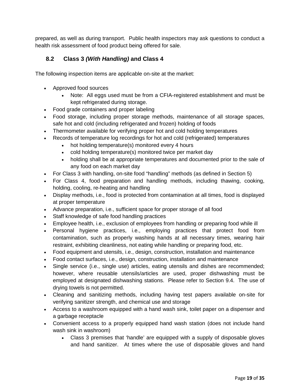prepared, as well as during transport. Public health inspectors may ask questions to conduct a health risk assessment of food product being offered for sale.

#### <span id="page-18-0"></span>**8.2 Class 3** *(With Handling)* **and Class 4**

The following inspection items are applicable on-site at the market:

- Approved food sources
	- Note: All eggs used must be from a CFIA-registered establishment and must be kept refrigerated during storage.
- Food grade containers and proper labeling
- Food storage, including proper storage methods, maintenance of all storage spaces, safe hot and cold (including refrigerated and frozen) holding of foods
- Thermometer available for verifying proper hot and cold holding temperatures
- Records of temperature log recordings for hot and cold (refrigerated) temperatures
	- hot holding temperature(s) monitored every 4 hours
	- cold holding temperature(s) monitored twice per market day
	- holding shall be at appropriate temperatures and documented prior to the sale of any food on each market day
- For Class 3 with handling, on-site food "handling" methods (as defined in Section 5)
- For Class 4, food preparation and handling methods, including thawing, cooking, holding, cooling, re-heating and handling
- Display methods, i.e., food is protected from contamination at all times, food is displayed at proper temperature
- Advance preparation, i.e., sufficient space for proper storage of all food
- Staff knowledge of safe food handling practices
- Employee health, i.e., exclusion of employees from handling or preparing food while ill
- Personal hygiene practices, i.e., employing practices that protect food from contamination, such as properly washing hands at all necessary times, wearing hair restraint, exhibiting cleanliness, not eating while handling or preparing food, etc.
- Food equipment and utensils, i.e., design, construction, installation and maintenance
- Food contact surfaces, i.e., design, construction, installation and maintenance
- Single service (i.e., single use) articles, eating utensils and dishes are recommended; however, where reusable utensils/articles are used, proper dishwashing must be employed at designated dishwashing stations. Please refer to Section 9.4. The use of drying towels is not permitted.
- Cleaning and sanitizing methods, including having test papers available on-site for verifying sanitizer strength, and chemical use and storage
- Access to a washroom equipped with a hand wash sink, toilet paper on a dispenser and a garbage receptacle
- Convenient access to a properly equipped hand wash station (does not include hand wash sink in washroom)
	- Class 3 premises that 'handle' are equipped with a supply of disposable gloves and hand sanitizer. At times where the use of disposable gloves and hand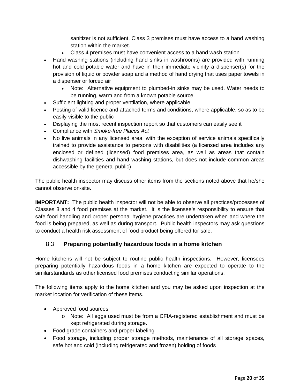sanitizer is not sufficient, Class 3 premises must have access to a hand washing station within the market.

- Class 4 premises must have convenient access to a hand wash station
- Hand washing stations (including hand sinks in washrooms) are provided with running hot and cold potable water and have in their immediate vicinity a dispenser(s) for the provision of liquid or powder soap and a method of hand drying that uses paper towels in a dispenser or forced air
	- Note: Alternative equipment to plumbed-in sinks may be used. Water needs to be running, warm and from a known potable source.
- Sufficient lighting and proper ventilation, where applicable
- Posting of valid licence and attached terms and conditions, where applicable, so as to be easily visible to the public
- Displaying the most recent inspection report so that customers can easily see it
- Compliance with *Smoke-free Places Act*
- No live animals in any licensed area, with the exception of service animals specifically trained to provide assistance to persons with disabilities (a licensed area includes any enclosed or defined (licensed) food premises area, as well as areas that contain dishwashing facilities and hand washing stations, but does not include common areas accessible by the general public)

The public health inspector may discuss other items from the sections noted above that he/she cannot observe on-site.

**IMPORTANT:** The public health inspector will not be able to observe all practices/processes of Classes 3 and 4 food premises at the market. It is the licensee's responsibility to ensure that safe food handling and proper personal hygiene practices are undertaken when and where the food is being prepared, as well as during transport. Public health inspectors may ask questions to conduct a health risk assessment of food product being offered for sale.

#### <span id="page-19-0"></span>8.3 **Preparing potentially hazardous foods in a home kitchen**

Home kitchens will not be subject to routine public health inspections. However, licensees preparing potentially hazardous foods in a home kitchen are expected to operate to the similarstandards as other licensed food premises conducting similar operations.

The following items apply to the home kitchen and you may be asked upon inspection at the market location for verification of these items.

- Approved food sources
	- o Note: All eggs used must be from a CFIA-registered establishment and must be kept refrigerated during storage.
- Food grade containers and proper labeling
- Food storage, including proper storage methods, maintenance of all storage spaces, safe hot and cold (including refrigerated and frozen) holding of foods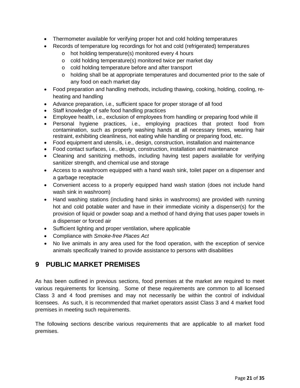- <span id="page-20-0"></span>• Thermometer available for verifying proper hot and cold holding temperatures
- Records of temperature log recordings for hot and cold (refrigerated) temperatures
	- o hot holding temperature(s) monitored every 4 hours
	- o cold holding temperature(s) monitored twice per market day
	- o cold holding temperature before and after transport
	- o holding shall be at appropriate temperatures and documented prior to the sale of any food on each market day
- Food preparation and handling methods, including thawing, cooking, holding, cooling, reheating and handling
- Advance preparation, i.e., sufficient space for proper storage of all food
- Staff knowledge of safe food handling practices
- Employee health, i.e., exclusion of employees from handling or preparing food while ill
- Personal hygiene practices, i.e., employing practices that protect food from contamination, such as properly washing hands at all necessary times, wearing hair restraint, exhibiting cleanliness, not eating while handling or preparing food, etc.
- Food equipment and utensils, i.e., design, construction, installation and maintenance
- Food contact surfaces, i.e., design, construction, installation and maintenance
- Cleaning and sanitizing methods, including having test papers available for verifying sanitizer strength, and chemical use and storage
- Access to a washroom equipped with a hand wash sink, toilet paper on a dispenser and a garbage receptacle
- Convenient access to a properly equipped hand wash station (does not include hand wash sink in washroom)
- Hand washing stations (including hand sinks in washrooms) are provided with running hot and cold potable water and have in their immediate vicinity a dispenser(s) for the provision of liquid or powder soap and a method of hand drying that uses paper towels in a dispenser or forced air
- Sufficient lighting and proper ventilation, where applicable
- Compliance with *Smoke-free Places Act*
- No live animals in any area used for the food operation, with the exception of service animals specifically trained to provide assistance to persons with disabilities

## **9 PUBLIC MARKET PREMISES**

As has been outlined in previous sections, food premises at the market are required to meet various requirements for licensing. Some of these requirements are common to all licensed Class 3 and 4 food premises and may not necessarily be within the control of individual licensees. As such, it is recommended that market operators assist Class 3 and 4 market food premises in meeting such requirements.

The following sections describe various requirements that are applicable to all market food premises.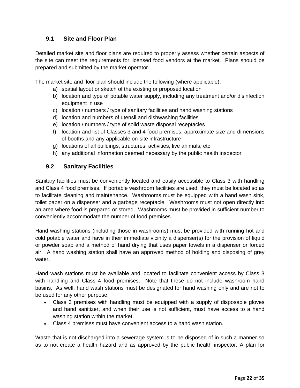#### <span id="page-21-0"></span>**9.1 Site and Floor Plan**

Detailed market site and floor plans are required to properly assess whether certain aspects of the site can meet the requirements for licensed food vendors at the market. Plans should be prepared and submitted by the market operator.

The market site and floor plan should include the following (where applicable):

- a) spatial layout or sketch of the existing or proposed location
- b) location and type of potable water supply, including any treatment and/or disinfection equipment in use
- c) location / numbers / type of sanitary facilities and hand washing stations
- d) location and numbers of utensil and dishwashing facilities
- e) location / numbers / type of solid waste disposal receptacles
- f) location and list of Classes 3 and 4 food premises, approximate size and dimensions of booths and any applicable on-site infrastructure
- g) locations of all buildings, structures, activities, live animals, etc.
- h) any additional information deemed necessary by the public health inspector

#### <span id="page-21-1"></span>**9.2 Sanitary Facilities**

Sanitary facilities must be conveniently located and easily accessible to Class 3 with handling and Class 4 food premises. If portable washroom facilities are used, they must be located so as to facilitate cleaning and maintenance. Washrooms must be equipped with a hand wash sink, toilet paper on a dispenser and a garbage receptacle. Washrooms must not open directly into an area where food is prepared or stored. Washrooms must be provided in sufficient number to conveniently accommodate the number of food premises.

Hand washing stations (including those in washrooms) must be provided with running hot and cold potable water and have in their immediate vicinity a dispenser(s) for the provision of liquid or powder soap and a method of hand drying that uses paper towels in a dispenser or forced air. A hand washing station shall have an approved method of holding and disposing of grey water.

Hand wash stations must be available and located to facilitate convenient access by Class 3 with handling and Class 4 food premises. Note that these do not include washroom hand basins. As well, hand wash stations must be designated for hand washing only and are not to be used for any other purpose.

- Class 3 premises with handling must be equipped with a supply of disposable gloves and hand sanitizer, and when their use is not sufficient, must have access to a hand washing station within the market.
- Class 4 premises must have convenient access to a hand wash station.

Waste that is not discharged into a sewerage system is to be disposed of in such a manner so as to not create a health hazard and as approved by the public health inspector. A plan for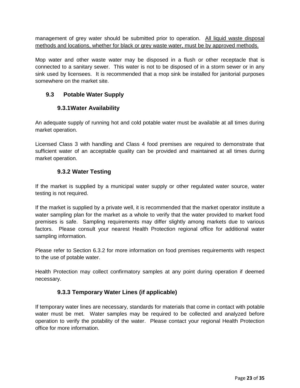management of grey water should be submitted prior to operation. All liquid waste disposal methods and locations, whether for black or grey waste water, must be by approved methods.

Mop water and other waste water may be disposed in a flush or other receptacle that is connected to a sanitary sewer. This water is not to be disposed of in a storm sewer or in any sink used by licensees. It is recommended that a mop sink be installed for janitorial purposes somewhere on the market site.

#### <span id="page-22-1"></span><span id="page-22-0"></span>**9.3 Potable Water Supply**

#### **9.3.1Water Availability**

An adequate supply of running hot and cold potable water must be available at all times during market operation.

<span id="page-22-2"></span>Licensed Class 3 with handling and Class 4 food premises are required to demonstrate that sufficient water of an acceptable quality can be provided and maintained at all times during market operation.

#### **9.3.2 Water Testing**

If the market is supplied by a municipal water supply or other regulated water source, water testing is not required.

If the market is supplied by a private well, it is recommended that the market operator institute a water sampling plan for the market as a whole to verify that the water provided to market food premises is safe. Sampling requirements may differ slightly among markets due to various factors. Please consult your nearest Health Protection regional office for additional water sampling information.

Please refer to Section 6.3.2 for more information on food premises requirements with respect to the use of potable water.

<span id="page-22-3"></span>Health Protection may collect confirmatory samples at any point during operation if deemed necessary.

#### **9.3.3 Temporary Water Lines (if applicable)**

If temporary water lines are necessary, standards for materials that come in contact with potable water must be met. Water samples may be required to be collected and analyzed before operation to verify the potability of the water. Please contact your regional Health Protection office for more information.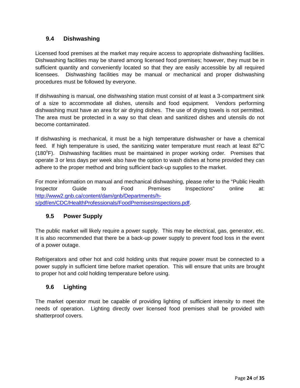#### <span id="page-23-2"></span><span id="page-23-0"></span>**9.4 Dishwashing**

Licensed food premises at the market may require access to appropriate dishwashing facilities. Dishwashing facilities may be shared among licensed food premises; however, they must be in sufficient quantity and conveniently located so that they are easily accessible by all required licensees. Dishwashing facilities may be manual or mechanical and proper dishwashing procedures must be followed by everyone.

If dishwashing is manual, one dishwashing station must consist of at least a 3-compartment sink of a size to accommodate all dishes, utensils and food equipment. Vendors performing dishwashing must have an area for air drying dishes. The use of drying towels is not permitted. The area must be protected in a way so that clean and sanitized dishes and utensils do not become contaminated.

If dishwashing is mechanical, it must be a high temperature dishwasher or have a chemical feed. If high temperature is used, the sanitizing water temperature must reach at least 82 $^{\circ}$ C (180°F). Dishwashing facilities must be maintained in proper working order. Premises that operate 3 or less days per week also have the option to wash dishes at home provided they can adhere to the proper method and bring sufficient back-up supplies to the market.

For more information on manual and mechanical dishwashing, please refer to the "Public Health Inspector Guide to Food Premises Inspections" online at: [http://www2.gnb.ca/content/dam/gnb/Departments/h](http://www2.gnb.ca/content/dam/gnb/Departments/h-s/pdf/en/CDC/HealthProfessionals/FoodPremisesInspections.pdf)[s/pdf/en/CDC/HealthProfessionals/FoodPremisesInspections.pdf.](http://www2.gnb.ca/content/dam/gnb/Departments/h-s/pdf/en/CDC/HealthProfessionals/FoodPremisesInspections.pdf)

## <span id="page-23-1"></span>**9.5 Power Supply**

The public market will likely require a power supply. This may be electrical, gas, generator, etc. It is also recommended that there be a back-up power supply to prevent food loss in the event of a power outage.

Refrigerators and other hot and cold holding units that require power must be connected to a power supply in sufficient time before market operation. This will ensure that units are brought to proper hot and cold holding temperature before using.

## **9.6 Lighting**

The market operator must be capable of providing lighting of sufficient intensity to meet the needs of operation. Lighting directly over licensed food premises shall be provided with shatterproof covers.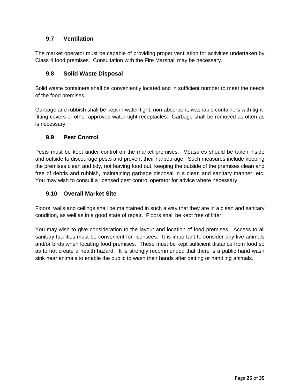#### <span id="page-24-0"></span>**9.7 Ventilation**

The market operator must be capable of providing proper ventilation for activities undertaken by Class 4 food premises. Consultation with the Fire Marshall may be necessary.

#### <span id="page-24-1"></span>**9.8 Solid Waste Disposal**

Solid waste containers shall be conveniently located and in sufficient number to meet the needs of the food premises.

Garbage and rubbish shall be kept in water-tight, non-absorbent, washable containers with tightfitting covers or other approved water-tight receptacles. Garbage shall be removed as often as is necessary.

#### <span id="page-24-2"></span>**9.9 Pest Control**

Pests must be kept under control on the market premises. Measures should be taken inside and outside to discourage pests and prevent their harbourage. Such measures include keeping the premises clean and tidy, not leaving food out, keeping the outside of the premises clean and free of debris and rubbish, maintaining garbage disposal in a clean and sanitary manner, etc. You may wish to consult a licensed pest control operator for advice where necessary.

#### <span id="page-24-3"></span>**9.10 Overall Market Site**

Floors, walls and ceilings shall be maintained in such a way that they are in a clean and sanitary condition, as well as in a good state of repair. Floors shall be kept free of litter.

You may wish to give consideration to the layout and location of food premises. Access to all sanitary facilities must be convenient for licensees. It is important to consider any live animals and/or birds when locating food premises. These must be kept sufficient distance from food so as to not create a health hazard. It is strongly recommended that there is a public hand wash sink near animals to enable the public to wash their hands after petting or handling animals.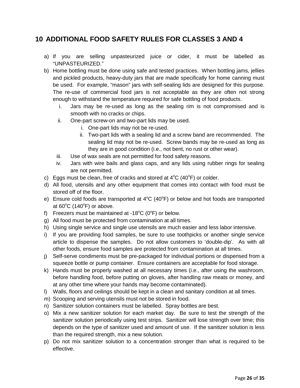## <span id="page-25-0"></span>**10 ADDITIONAL FOOD SAFETY RULES FOR CLASSES 3 AND 4**

- a) If you are selling unpasteurized juice or cider, it must be labelled as "UNPASTEURIZED."
- b) Home bottling must be done using safe and tested practices. When bottling jams, jellies and pickled products, heavy-duty jars that are made specifically for home canning must be used. For example, "mason" jars with self-sealing lids are designed for this purpose. The re-use of commercial food jars is not acceptable as they are often not strong enough to withstand the temperature required for safe bottling of food products.
	- i. Jars may be re-used as long as the sealing rim is not compromised and is smooth with no cracks or chips.
	- ii. One-part screw-on and two-part lids may be used.
		- i. One-part lids may not be re-used.
		- ii. Two-part lids with a sealing lid and a screw band are recommended. The sealing lid may not be re-used. Screw bands may be re-used as long as they are in good condition (i.e., not bent, no rust or other wear).
	- iii. Use of wax seals are not permitted for food safety reasons.
	- iv. Jars with wire bails and glass caps, and any lids using rubber rings for sealing are not permitted.
- c) Eggs must be clean, free of cracks and stored at  $4^{\circ}C$  (40 $^{\circ}F$ ) or colder.
- d) All food, utensils and any other equipment that comes into contact with food must be stored off of the floor.
- e) Ensure cold foods are transported at  $4^{\circ}C$  (40 $^{\circ}F$ ) or below and hot foods are transported at  $60^{\circ}$ C (140 $^{\circ}$ F) or above.
- f) Freezers must be maintained at -18 $^{\circ}$ C (0 $^{\circ}$ F) or below.
- g) All food must be protected from contamination at all times.
- h) Using single service and single use utensils are much easier and less labor intensive.
- i) If you are providing food samples, be sure to use toothpicks or another single service article to dispense the samples. Do not allow customers to 'double-dip'. As with all other foods, ensure food samples are protected from contamination at all times.
- j) Self-serve condiments must be pre-packaged for individual portions or dispensed from a squeeze bottle or pump container. Ensure containers are acceptable for food storage.
- k) Hands must be properly washed at all necessary times (i.e., after using the washroom, before handling food, before putting on gloves, after handling raw meats or money, and at any other time where your hands may become contaminated).
- l) Walls, floors and ceilings should be kept in a clean and sanitary condition at all times.
- m) Scooping and serving utensils must not be stored in food.
- n) Sanitizer solution containers must be labelled. Spray bottles are best.
- o) Mix a new sanitizer solution for each market day. Be sure to test the strength of the sanitizer solution periodically using test strips. Sanitizer will lose strength over time; this depends on the type of sanitizer used and amount of use. If the sanitizer solution is less than the required strength, mix a new solution.
- p) Do not mix sanitizer solution to a concentration stronger than what is required to be effective.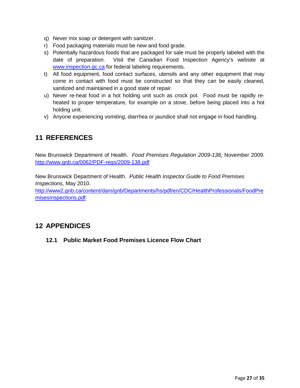- <span id="page-26-0"></span>q) Never mix soap or detergent with sanitizer.
- r) Food packaging materials must be new and food grade.
- s) Potentially hazardous foods that are packaged for sale must be properly labeled with the date of preparation. Visit the Canadian Food Inspection Agency's website at [www.inspection.gc.ca](http://www.inspection.gc.ca/) for federal labeling requirements.
- t) All food equipment, food contact surfaces, utensils and any other equipment that may come in contact with food must be constructed so that they can be easily cleaned, sanitized and maintained in a good state of repair.
- u) Never re-heat food in a hot holding unit such as crock pot. Food must be rapidly reheated to proper temperature, for example on a stove, before being placed into a hot holding unit.
- v) Anyone experiencing vomiting, diarrhea or jaundice shall not engage in food handling.

## **11 REFERENCES**

New Brunswick Department of Health. *Food Premises Regulation 2009-138,* November 2009. <http://www.gnb.ca/0062/PDF-regs/2009-138.pdf>

New Brunswick Department of Health. *Public Health Inspector Guide to Food Premises Inspections*, May 2010.

[http://www2.gnb.ca/content/dam/gnb/Departments/hs/pdf/en/CDC/HealthProfessionals/FoodPre](http://www2.gnb.ca/content/dam/gnb/Departments/hs/pdf/en/CDC/HealthProfessionals/FoodPremisesInspections.pdf) [misesInspections.pdf](http://www2.gnb.ca/content/dam/gnb/Departments/hs/pdf/en/CDC/HealthProfessionals/FoodPremisesInspections.pdf)

## <span id="page-26-1"></span>**12 APPENDICES**

**12.1 Public Market Food Premises Licence Flow Chart**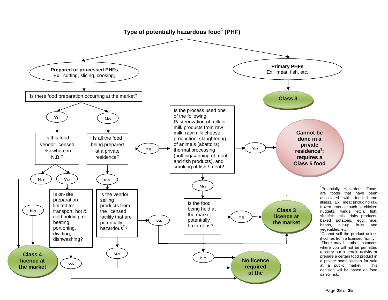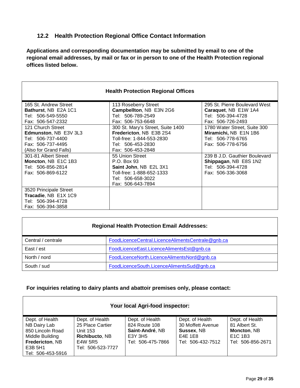### <span id="page-28-0"></span>**12.2 Health Protection Regional Office Contact Information**

**Applications and corresponding documentation may be submitted by email to one of the regional email addresses, by mail or fax or in person to one of the Health Protection regional offices listed below.**

| <b>Health Protection Regional Offices</b> |                                   |                               |
|-------------------------------------------|-----------------------------------|-------------------------------|
| 165 St. Andrew Street                     | 113 Roseberry Street              | 295 St. Pierre Boulevard West |
| Bathurst, NB E2A 1C1                      | Campbellton, NB E3N 2G6           | Caraquet, NB E1W 1A4          |
| Tel: 506-549-5550                         | Tel: 506-789-2549                 | Tel: 506-394-4728             |
| Fax: 506-547-2332                         | Fax: 506-753-6648                 | Fax: 506-726-2493             |
| 121 Church Street                         | 300 St. Mary's Street, Suite 1400 | 1780 Water Street, Suite 300  |
| Edmunston, NB E3V 3L3                     | Fredericton, NB E3B 2S4           | Miramichi, NB E1N 1B6         |
| Tel: 506-737-4400                         | Toll-free: 1-844-553-2830         | Tel: 506-778-6765             |
| Fax: 506-737-4495                         | Tel: 506-453-2830                 | Fax: 506-778-6756             |
| (Also for Grand Falls)                    | Fax: 506-453-2848                 |                               |
| 301-81 Albert Street                      | 55 Union Street                   | 239 B J.D. Gauthier Boulevard |
| Moncton, NB E1C 1B3                       | P.O. Box 93                       | Shippagan, NB E8S 1N2         |
| Tel: 506-856-2814                         | Saint John, NB E2L 3X1            | Tel: 506-394-4728             |
| Fax: 506-869-6122                         | Toll-free: 1-888-652-1333         | Fax: 506-336-3068             |
|                                           | Tel: 506-658-3022                 |                               |
|                                           | Fax: 506-643-7894                 |                               |
| 3520 Principale Street                    |                                   |                               |
| Tracadie, NB E1X 1C9                      |                                   |                               |
| Tel: 506-394-4728                         |                                   |                               |
| Fax: 506-394-3858                         |                                   |                               |

#### **Regional Health Protection Email Addresses:**

| Central / centrale | FoodLicenceCentral.LicenceAlimentsCentrale@gnb.ca |
|--------------------|---------------------------------------------------|
| East / est         | FoodLicenceEast.LicenceAlimentsEst@gnb.ca         |
| North / nord       | FoodLicenceNorth.LicenceAlimentsNord@gnb.ca       |
| South / sud        | FoodLicenceSouth.LicenceAlimentsSud@gnb.ca        |

#### **For inquiries relating to dairy plants and abattoir premises only, please contact:**

| Your local Agri-food inspector:                                                                                           |                                                                                                   |                                                                                     |                                                                                    |                                                                                                         |
|---------------------------------------------------------------------------------------------------------------------------|---------------------------------------------------------------------------------------------------|-------------------------------------------------------------------------------------|------------------------------------------------------------------------------------|---------------------------------------------------------------------------------------------------------|
| Dept. of Health<br>NB Dairy Lab<br>850 Lincoln Road<br>Middle Building<br>Fredericton, NB<br>E3B 5H1<br>Tel: 506-453-5916 | Dept. of Health<br>25 Place Cartier<br>Unit 153<br>Richibucto, NB<br>E4W 5R5<br>Tel: 506-523-7727 | Dept. of Health<br>824 Route 108<br>Saint-André, NB<br>E3Y 3H5<br>Tel: 506-475-7866 | Dept. of Health<br>30 Moffett Avenue<br>Sussex, NB<br>E4E 1E8<br>Tel: 506-432-7512 | Dept. of Health<br>81 Albert St.<br>Moncton, NB<br>E <sub>1</sub> C <sub>1B3</sub><br>Tel: 506-856-2671 |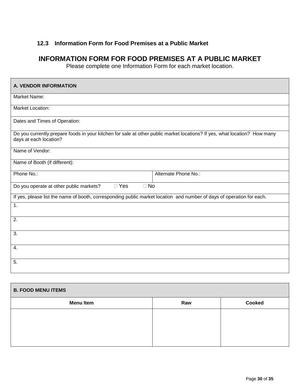## <span id="page-29-0"></span>**12.3 Information Form for Food Premises at a Public Market**

## **INFORMATION FORM FOR FOOD PREMISES AT A PUBLIC MARKET**

Please complete one Information Form for each market location.

| <b>A. VENDOR INFORMATION</b>                                                                                                                        |
|-----------------------------------------------------------------------------------------------------------------------------------------------------|
| Market Name:                                                                                                                                        |
| Market Location:                                                                                                                                    |
| Dates and Times of Operation:                                                                                                                       |
| Do you currently prepare foods in your kitchen for sale at other public market locations? If yes, what location? How many<br>days at each location? |
| Name of Vendor:                                                                                                                                     |
| Name of Booth (if different):                                                                                                                       |
| Phone No.:<br>Alternate Phone No.:                                                                                                                  |
| $\Box$ Yes<br>$\Box$ No<br>Do you operate at other public markets?                                                                                  |
| If yes, please list the name of booth, corresponding public market location and number of days of operation for each.                               |
| 1.                                                                                                                                                  |
| $\overline{2}$ .                                                                                                                                    |
| $\overline{3}$ .                                                                                                                                    |
| 4.                                                                                                                                                  |
| 5.                                                                                                                                                  |

| <b>B. FOOD MENU ITEMS</b> |     |               |
|---------------------------|-----|---------------|
| <b>Menu Item</b>          | Raw | <b>Cooked</b> |
|                           |     |               |
|                           |     |               |
|                           |     |               |
|                           |     |               |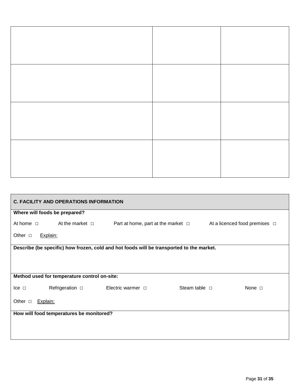|                       | <b>C. FACILITY AND OPERATIONS INFORMATION</b> |                                                                                          |                    |                                                                            |
|-----------------------|-----------------------------------------------|------------------------------------------------------------------------------------------|--------------------|----------------------------------------------------------------------------|
|                       | Where will foods be prepared?                 |                                                                                          |                    |                                                                            |
| At home $\Box$        | At the market $\Box$                          |                                                                                          |                    | Part at home, part at the market $\Box$ At a licenced food premises $\Box$ |
| Other $\Box$          | Explain:                                      |                                                                                          |                    |                                                                            |
|                       |                                               | Describe (be specific) how frozen, cold and hot foods will be transported to the market. |                    |                                                                            |
|                       |                                               |                                                                                          |                    |                                                                            |
|                       |                                               |                                                                                          |                    |                                                                            |
|                       | Method used for temperature control on-site:  |                                                                                          |                    |                                                                            |
| $\mathsf{lce}$ $\Box$ | Refrigeration $\square$                       | Electric warmer $\Box$                                                                   | Steam table $\Box$ | None $\Box$                                                                |
| Other $\Box$          | Explain:                                      |                                                                                          |                    |                                                                            |
|                       | How will food temperatures be monitored?      |                                                                                          |                    |                                                                            |
|                       |                                               |                                                                                          |                    |                                                                            |
|                       |                                               |                                                                                          |                    |                                                                            |
|                       |                                               |                                                                                          |                    |                                                                            |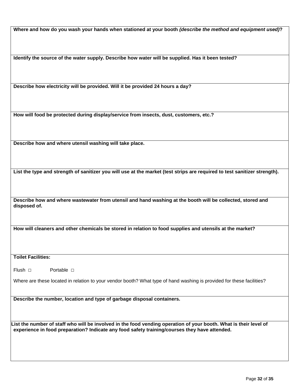**Where and how do you wash your hands when stationed at your booth** *(describe the method and equipment used)***?**

**Identify the source of the water supply. Describe how water will be supplied. Has it been tested?**

**Describe how electricity will be provided. Will it be provided 24 hours a day?**

**How will food be protected during display/service from insects, dust, customers, etc.?**

**Describe how and where utensil washing will take place.**

**List the type and strength of sanitizer you will use at the market (test strips are required to test sanitizer strength).**

**Describe how and where wastewater from utensil and hand washing at the booth will be collected, stored and disposed of.**

**How will cleaners and other chemicals be stored in relation to food supplies and utensils at the market?**

**Toilet Facilities:**

Flush □ Portable □

Where are these located in relation to your vendor booth? What type of hand washing is provided for these facilities?

**Describe the number, location and type of garbage disposal containers.**

List the number of staff who will be involved in the food vending operation of your booth. What is their level of **experience in food preparation? Indicate any food safety training/courses they have attended.**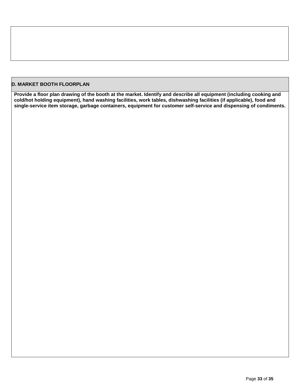#### **D. MARKET BOOTH FLOORPLAN**

**Provide a floor plan drawing of the booth at the market. Identify and describe all equipment (including cooking and cold/hot holding equipment), hand washing facilities, work tables, dishwashing facilities (if applicable), food and single-service item storage, garbage containers, equipment for customer self-service and dispensing of condiments.**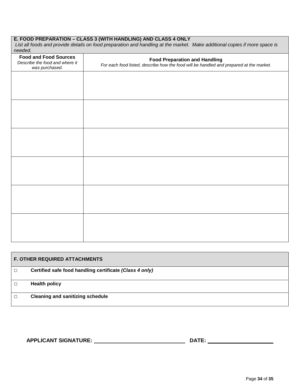#### **E. FOOD PREPARATION – CLASS 3 (WITH HANDLING) AND CLASS 4 ONLY**

*List all foods and provide details on food preparation and handling at the market. Make additional copies if more space is needed.*

| <b>Food and Food Sources</b><br>Describe the food and where it<br>was purchased. | Food Preparation and Handling<br>For each food listed, describe how the food will be handled and prepared at the market. |
|----------------------------------------------------------------------------------|--------------------------------------------------------------------------------------------------------------------------|
|                                                                                  |                                                                                                                          |
|                                                                                  |                                                                                                                          |
|                                                                                  |                                                                                                                          |
|                                                                                  |                                                                                                                          |
|                                                                                  |                                                                                                                          |
|                                                                                  |                                                                                                                          |
|                                                                                  |                                                                                                                          |
|                                                                                  |                                                                                                                          |
|                                                                                  |                                                                                                                          |
|                                                                                  |                                                                                                                          |
|                                                                                  |                                                                                                                          |
|                                                                                  |                                                                                                                          |

| <b>F. OTHER REQUIRED ATTACHMENTS</b> |                                                         |
|--------------------------------------|---------------------------------------------------------|
| П                                    | Certified safe food handling certificate (Class 4 only) |
|                                      | <b>Health policy</b>                                    |
| П                                    | <b>Cleaning and sanitizing schedule</b>                 |

**APPLICANT SIGNATURE: DATE:**